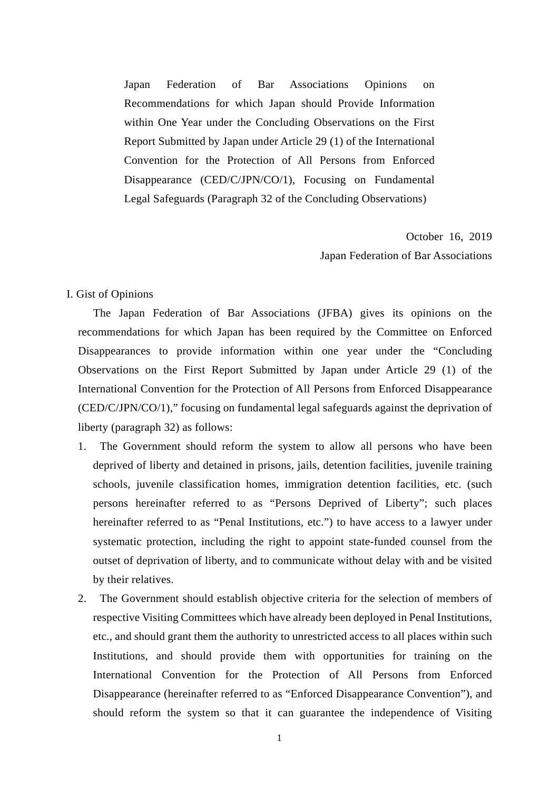Japan Federation of Bar Associations Opinions on Recommendations for which Japan should Provide Information within One Year under the Concluding Observations on the First Report Submitted by Japan under Article 29 (1) of the International Convention for the Protection of All Persons from Enforced Disappearance (CED/C/JPN/CO/1), Focusing on Fundamental Legal Safeguards (Paragraph 32 of the Concluding Observations)

> October 16, 2019 Japan Federation of Bar Associations

## I. Gist of Opinions

The Japan Federation of Bar Associations (JFBA) gives its opinions on the recommendations for which Japan has been required by the Committee on Enforced Disappearances to provide information within one year under the "Concluding Observations on the First Report Submitted by Japan under Article 29 (1) of the International Convention for the Protection of All Persons from Enforced Disappearance (CED/C/JPN/CO/1)," focusing on fundamental legal safeguards against the deprivation of liberty (paragraph 32) as follows:

- 1. The Government should reform the system to allow all persons who have been deprived of liberty and detained in prisons, jails, detention facilities, juvenile training schools, juvenile classification homes, immigration detention facilities, etc. (such persons hereinafter referred to as "Persons Deprived of Liberty"; such places hereinafter referred to as "Penal Institutions, etc.") to have access to a lawyer under systematic protection, including the right to appoint state-funded counsel from the outset of deprivation of liberty, and to communicate without delay with and be visited by their relatives.
- 2. The Government should establish objective criteria for the selection of members of respective Visiting Committees which have already been deployed in Penal Institutions, etc., and should grant them the authority to unrestricted access to all places within such Institutions, and should provide them with opportunities for training on the International Convention for the Protection of All Persons from Enforced Disappearance (hereinafter referred to as "Enforced Disappearance Convention"), and should reform the system so that it can guarantee the independence of Visiting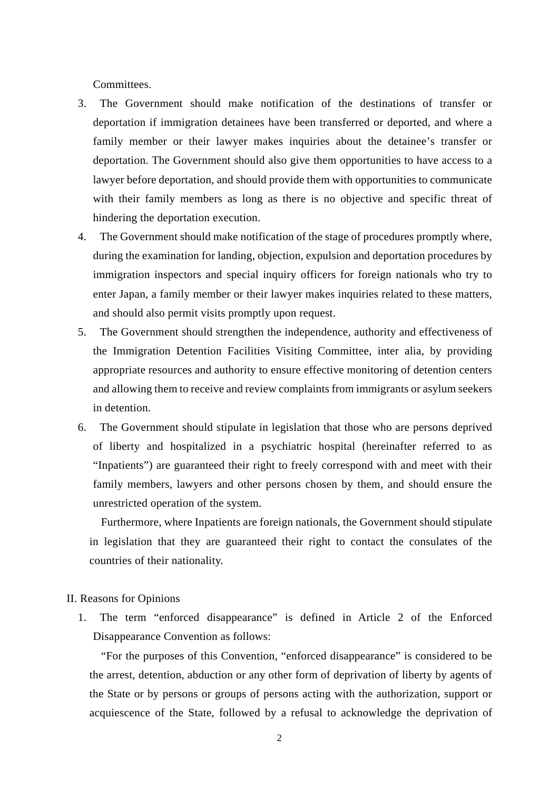Committees.

- 3. The Government should make notification of the destinations of transfer or deportation if immigration detainees have been transferred or deported, and where a family member or their lawyer makes inquiries about the detainee's transfer or deportation. The Government should also give them opportunities to have access to a lawyer before deportation, and should provide them with opportunities to communicate with their family members as long as there is no objective and specific threat of hindering the deportation execution.
- 4. The Government should make notification of the stage of procedures promptly where, during the examination for landing, objection, expulsion and deportation procedures by immigration inspectors and special inquiry officers for foreign nationals who try to enter Japan, a family member or their lawyer makes inquiries related to these matters, and should also permit visits promptly upon request.
- 5. The Government should strengthen the independence, authority and effectiveness of the Immigration Detention Facilities Visiting Committee, inter alia, by providing appropriate resources and authority to ensure effective monitoring of detention centers and allowing them to receive and review complaints from immigrants or asylum seekers in detention.
- 6. The Government should stipulate in legislation that those who are persons deprived of liberty and hospitalized in a psychiatric hospital (hereinafter referred to as "Inpatients") are guaranteed their right to freely correspond with and meet with their family members, lawyers and other persons chosen by them, and should ensure the unrestricted operation of the system.

Furthermore, where Inpatients are foreign nationals, the Government should stipulate in legislation that they are guaranteed their right to contact the consulates of the countries of their nationality.

II. Reasons for Opinions

1. The term "enforced disappearance" is defined in Article 2 of the Enforced Disappearance Convention as follows:

"For the purposes of this Convention, "enforced disappearance" is considered to be the arrest, detention, abduction or any other form of deprivation of liberty by agents of the State or by persons or groups of persons acting with the authorization, support or acquiescence of the State, followed by a refusal to acknowledge the deprivation of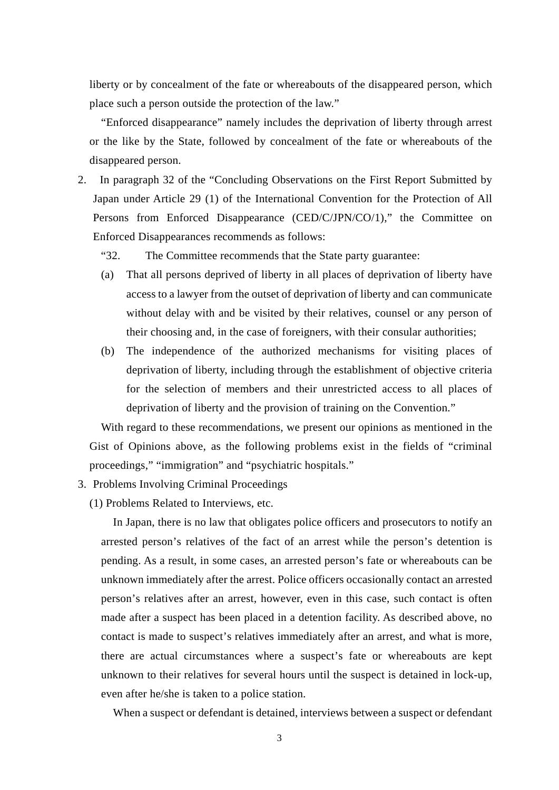liberty or by concealment of the fate or whereabouts of the disappeared person, which place such a person outside the protection of the law."

"Enforced disappearance" namely includes the deprivation of liberty through arrest or the like by the State, followed by concealment of the fate or whereabouts of the disappeared person.

- 2. In paragraph 32 of the "Concluding Observations on the First Report Submitted by Japan under Article 29 (1) of the International Convention for the Protection of All Persons from Enforced Disappearance (CED/C/JPN/CO/1)," the Committee on Enforced Disappearances recommends as follows:
	- "32. The Committee recommends that the State party guarantee:
	- (a) That all persons deprived of liberty in all places of deprivation of liberty have access to a lawyer from the outset of deprivation of liberty and can communicate without delay with and be visited by their relatives, counsel or any person of their choosing and, in the case of foreigners, with their consular authorities;
	- (b) The independence of the authorized mechanisms for visiting places of deprivation of liberty, including through the establishment of objective criteria for the selection of members and their unrestricted access to all places of deprivation of liberty and the provision of training on the Convention."

With regard to these recommendations, we present our opinions as mentioned in the Gist of Opinions above, as the following problems exist in the fields of "criminal proceedings," "immigration" and "psychiatric hospitals."

- 3. Problems Involving Criminal Proceedings
	- (1) Problems Related to Interviews, etc.

In Japan, there is no law that obligates police officers and prosecutors to notify an arrested person's relatives of the fact of an arrest while the person's detention is pending. As a result, in some cases, an arrested person's fate or whereabouts can be unknown immediately after the arrest. Police officers occasionally contact an arrested person's relatives after an arrest, however, even in this case, such contact is often made after a suspect has been placed in a detention facility. As described above, no contact is made to suspect's relatives immediately after an arrest, and what is more, there are actual circumstances where a suspect's fate or whereabouts are kept unknown to their relatives for several hours until the suspect is detained in lock-up, even after he/she is taken to a police station.

When a suspect or defendant is detained, interviews between a suspect or defendant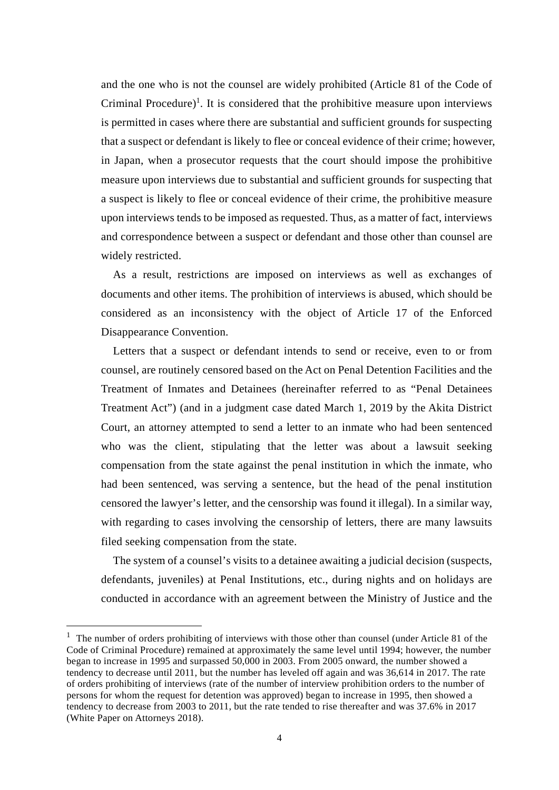and the one who is not the counsel are widely prohibited (Article 81 of the Code of Criminal Procedure)<sup>1</sup>. It is considered that the prohibitive measure upon interviews is permitted in cases where there are substantial and sufficient grounds for suspecting that a suspect or defendant is likely to flee or conceal evidence of their crime; however, in Japan, when a prosecutor requests that the court should impose the prohibitive measure upon interviews due to substantial and sufficient grounds for suspecting that a suspect is likely to flee or conceal evidence of their crime, the prohibitive measure upon interviews tends to be imposed as requested. Thus, as a matter of fact, interviews and correspondence between a suspect or defendant and those other than counsel are widely restricted.

As a result, restrictions are imposed on interviews as well as exchanges of documents and other items. The prohibition of interviews is abused, which should be considered as an inconsistency with the object of Article 17 of the Enforced Disappearance Convention.

Letters that a suspect or defendant intends to send or receive, even to or from counsel, are routinely censored based on the Act on Penal Detention Facilities and the Treatment of Inmates and Detainees (hereinafter referred to as "Penal Detainees Treatment Act") (and in a judgment case dated March 1, 2019 by the Akita District Court, an attorney attempted to send a letter to an inmate who had been sentenced who was the client, stipulating that the letter was about a lawsuit seeking compensation from the state against the penal institution in which the inmate, who had been sentenced, was serving a sentence, but the head of the penal institution censored the lawyer's letter, and the censorship was found it illegal). In a similar way, with regarding to cases involving the censorship of letters, there are many lawsuits filed seeking compensation from the state.

The system of a counsel's visits to a detainee awaiting a judicial decision (suspects, defendants, juveniles) at Penal Institutions, etc., during nights and on holidays are conducted in accordance with an agreement between the Ministry of Justice and the

1

 $1$  The number of orders prohibiting of interviews with those other than counsel (under Article 81 of the Code of Criminal Procedure) remained at approximately the same level until 1994; however, the number began to increase in 1995 and surpassed 50,000 in 2003. From 2005 onward, the number showed a tendency to decrease until 2011, but the number has leveled off again and was 36,614 in 2017. The rate of orders prohibiting of interviews (rate of the number of interview prohibition orders to the number of persons for whom the request for detention was approved) began to increase in 1995, then showed a tendency to decrease from 2003 to 2011, but the rate tended to rise thereafter and was 37.6% in 2017 (White Paper on Attorneys 2018).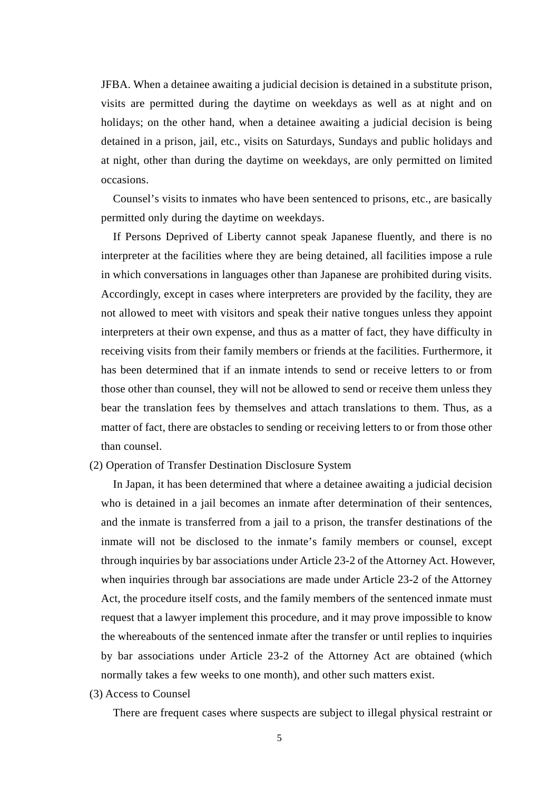JFBA. When a detainee awaiting a judicial decision is detained in a substitute prison, visits are permitted during the daytime on weekdays as well as at night and on holidays; on the other hand, when a detainee awaiting a judicial decision is being detained in a prison, jail, etc., visits on Saturdays, Sundays and public holidays and at night, other than during the daytime on weekdays, are only permitted on limited occasions.

Counsel's visits to inmates who have been sentenced to prisons, etc., are basically permitted only during the daytime on weekdays.

If Persons Deprived of Liberty cannot speak Japanese fluently, and there is no interpreter at the facilities where they are being detained, all facilities impose a rule in which conversations in languages other than Japanese are prohibited during visits. Accordingly, except in cases where interpreters are provided by the facility, they are not allowed to meet with visitors and speak their native tongues unless they appoint interpreters at their own expense, and thus as a matter of fact, they have difficulty in receiving visits from their family members or friends at the facilities. Furthermore, it has been determined that if an inmate intends to send or receive letters to or from those other than counsel, they will not be allowed to send or receive them unless they bear the translation fees by themselves and attach translations to them. Thus, as a matter of fact, there are obstacles to sending or receiving letters to or from those other than counsel.

(2) Operation of Transfer Destination Disclosure System

In Japan, it has been determined that where a detainee awaiting a judicial decision who is detained in a jail becomes an inmate after determination of their sentences, and the inmate is transferred from a jail to a prison, the transfer destinations of the inmate will not be disclosed to the inmate's family members or counsel, except through inquiries by bar associations under Article 23-2 of the Attorney Act. However, when inquiries through bar associations are made under Article 23-2 of the Attorney Act, the procedure itself costs, and the family members of the sentenced inmate must request that a lawyer implement this procedure, and it may prove impossible to know the whereabouts of the sentenced inmate after the transfer or until replies to inquiries by bar associations under Article 23-2 of the Attorney Act are obtained (which normally takes a few weeks to one month), and other such matters exist.

(3) Access to Counsel

There are frequent cases where suspects are subject to illegal physical restraint or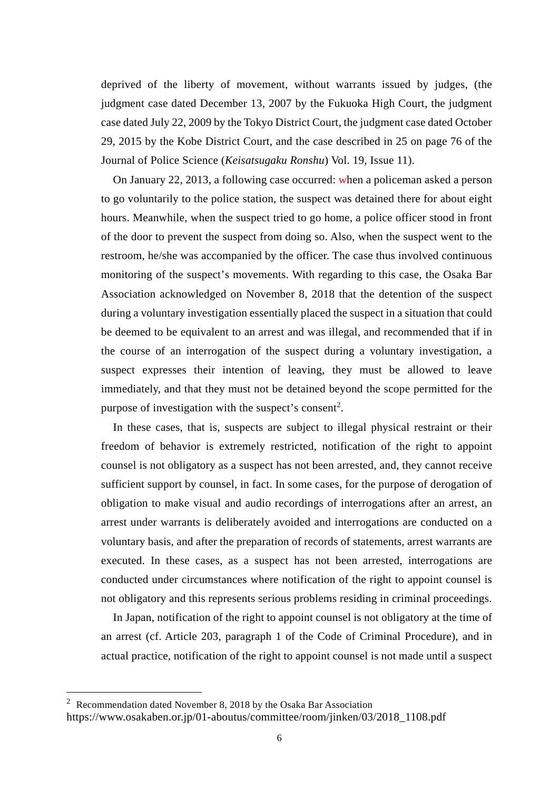deprived of the liberty of movement, without warrants issued by judges, (the judgment case dated December 13, 2007 by the Fukuoka High Court, the judgment case dated July 22, 2009 by the Tokyo District Court, the judgment case dated October 29, 2015 by the Kobe District Court, and the case described in 25 on page 76 of the Journal of Police Science (*Keisatsugaku Ronshu*) Vol. 19, Issue 11).

On January 22, 2013, a following case occurred: when a policeman asked a person to go voluntarily to the police station, the suspect was detained there for about eight hours. Meanwhile, when the suspect tried to go home, a police officer stood in front of the door to prevent the suspect from doing so. Also, when the suspect went to the restroom, he/she was accompanied by the officer. The case thus involved continuous monitoring of the suspect's movements. With regarding to this case, the Osaka Bar Association acknowledged on November 8, 2018 that the detention of the suspect during a voluntary investigation essentially placed the suspect in a situation that could be deemed to be equivalent to an arrest and was illegal, and recommended that if in the course of an interrogation of the suspect during a voluntary investigation, a suspect expresses their intention of leaving, they must be allowed to leave immediately, and that they must not be detained beyond the scope permitted for the purpose of investigation with the suspect's consent<sup>2</sup>.

In these cases, that is, suspects are subject to illegal physical restraint or their freedom of behavior is extremely restricted, notification of the right to appoint counsel is not obligatory as a suspect has not been arrested, and, they cannot receive sufficient support by counsel, in fact. In some cases, for the purpose of derogation of obligation to make visual and audio recordings of interrogations after an arrest, an arrest under warrants is deliberately avoided and interrogations are conducted on a voluntary basis, and after the preparation of records of statements, arrest warrants are executed. In these cases, as a suspect has not been arrested, interrogations are conducted under circumstances where notification of the right to appoint counsel is not obligatory and this represents serious problems residing in criminal proceedings.

In Japan, notification of the right to appoint counsel is not obligatory at the time of an arrest (cf. Article 203, paragraph 1 of the Code of Criminal Procedure), and in actual practice, notification of the right to appoint counsel is not made until a suspect

 $\overline{a}$ 

<sup>&</sup>lt;sup>2</sup> Recommendation dated November 8, 2018 by the Osaka Bar Association https://www.osakaben.or.jp/01-aboutus/committee/room/jinken/03/2018\_1108.pdf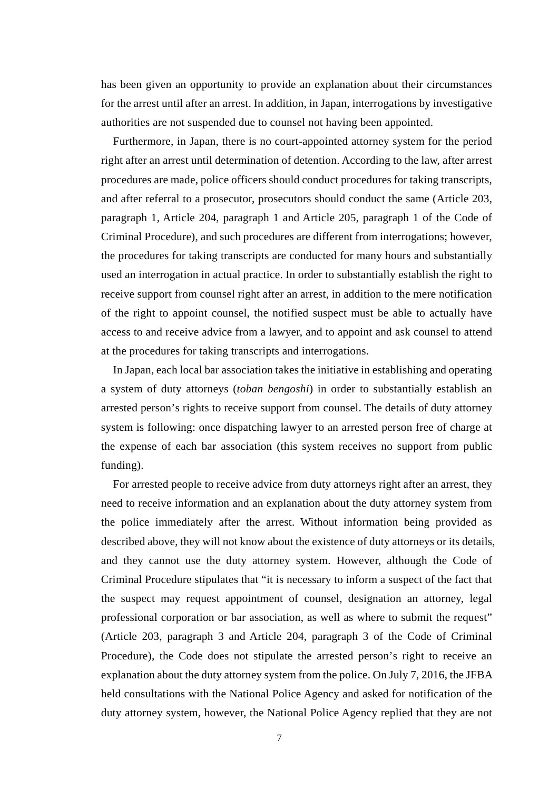has been given an opportunity to provide an explanation about their circumstances for the arrest until after an arrest. In addition, in Japan, interrogations by investigative authorities are not suspended due to counsel not having been appointed.

Furthermore, in Japan, there is no court-appointed attorney system for the period right after an arrest until determination of detention. According to the law, after arrest procedures are made, police officers should conduct procedures for taking transcripts, and after referral to a prosecutor, prosecutors should conduct the same (Article 203, paragraph 1, Article 204, paragraph 1 and Article 205, paragraph 1 of the Code of Criminal Procedure), and such procedures are different from interrogations; however, the procedures for taking transcripts are conducted for many hours and substantially used an interrogation in actual practice. In order to substantially establish the right to receive support from counsel right after an arrest, in addition to the mere notification of the right to appoint counsel, the notified suspect must be able to actually have access to and receive advice from a lawyer, and to appoint and ask counsel to attend at the procedures for taking transcripts and interrogations.

In Japan, each local bar association takes the initiative in establishing and operating a system of duty attorneys (*toban bengoshi*) in order to substantially establish an arrested person's rights to receive support from counsel. The details of duty attorney system is following: once dispatching lawyer to an arrested person free of charge at the expense of each bar association (this system receives no support from public funding).

For arrested people to receive advice from duty attorneys right after an arrest, they need to receive information and an explanation about the duty attorney system from the police immediately after the arrest. Without information being provided as described above, they will not know about the existence of duty attorneys or its details, and they cannot use the duty attorney system. However, although the Code of Criminal Procedure stipulates that "it is necessary to inform a suspect of the fact that the suspect may request appointment of counsel, designation an attorney, legal professional corporation or bar association, as well as where to submit the request" (Article 203, paragraph 3 and Article 204, paragraph 3 of the Code of Criminal Procedure), the Code does not stipulate the arrested person's right to receive an explanation about the duty attorney system from the police. On July 7, 2016, the JFBA held consultations with the National Police Agency and asked for notification of the duty attorney system, however, the National Police Agency replied that they are not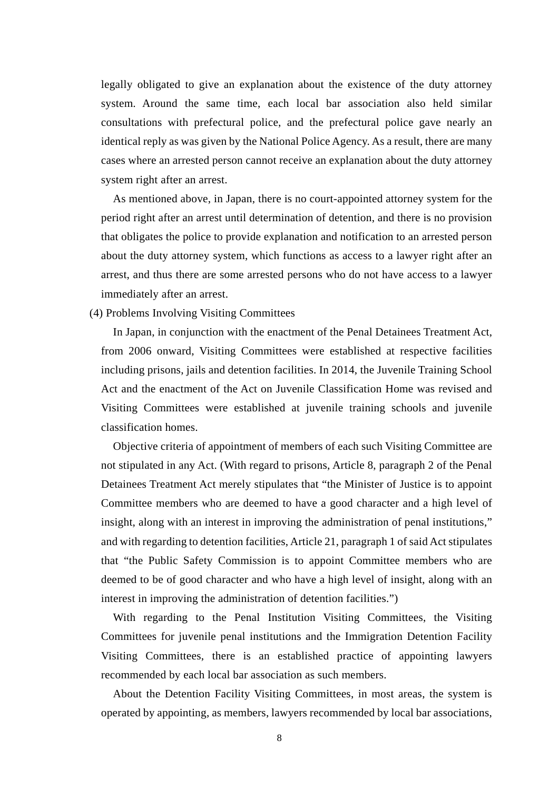legally obligated to give an explanation about the existence of the duty attorney system. Around the same time, each local bar association also held similar consultations with prefectural police, and the prefectural police gave nearly an identical reply as was given by the National Police Agency. As a result, there are many cases where an arrested person cannot receive an explanation about the duty attorney system right after an arrest.

As mentioned above, in Japan, there is no court-appointed attorney system for the period right after an arrest until determination of detention, and there is no provision that obligates the police to provide explanation and notification to an arrested person about the duty attorney system, which functions as access to a lawyer right after an arrest, and thus there are some arrested persons who do not have access to a lawyer immediately after an arrest.

(4) Problems Involving Visiting Committees

In Japan, in conjunction with the enactment of the Penal Detainees Treatment Act, from 2006 onward, Visiting Committees were established at respective facilities including prisons, jails and detention facilities. In 2014, the Juvenile Training School Act and the enactment of the Act on Juvenile Classification Home was revised and Visiting Committees were established at juvenile training schools and juvenile classification homes.

Objective criteria of appointment of members of each such Visiting Committee are not stipulated in any Act. (With regard to prisons, Article 8, paragraph 2 of the Penal Detainees Treatment Act merely stipulates that "the Minister of Justice is to appoint Committee members who are deemed to have a good character and a high level of insight, along with an interest in improving the administration of penal institutions," and with regarding to detention facilities, Article 21, paragraph 1 of said Act stipulates that "the Public Safety Commission is to appoint Committee members who are deemed to be of good character and who have a high level of insight, along with an interest in improving the administration of detention facilities.")

With regarding to the Penal Institution Visiting Committees, the Visiting Committees for juvenile penal institutions and the Immigration Detention Facility Visiting Committees, there is an established practice of appointing lawyers recommended by each local bar association as such members.

About the Detention Facility Visiting Committees, in most areas, the system is operated by appointing, as members, lawyers recommended by local bar associations,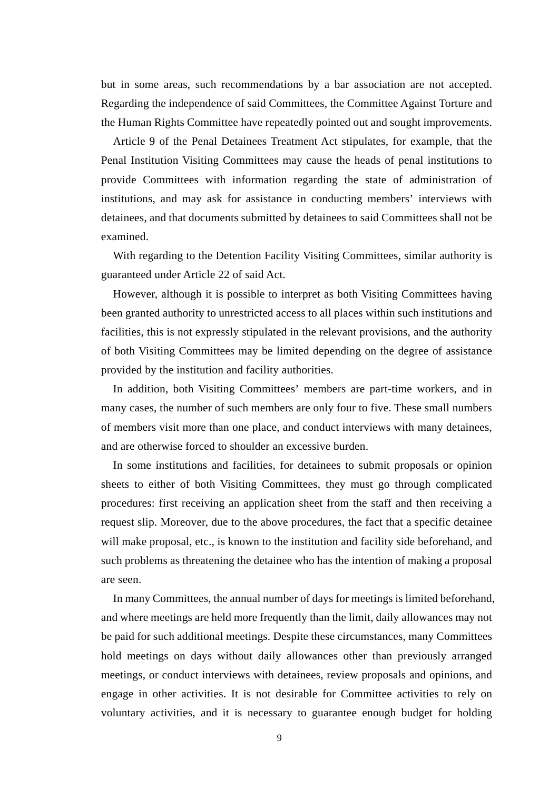but in some areas, such recommendations by a bar association are not accepted. Regarding the independence of said Committees, the Committee Against Torture and the Human Rights Committee have repeatedly pointed out and sought improvements.

Article 9 of the Penal Detainees Treatment Act stipulates, for example, that the Penal Institution Visiting Committees may cause the heads of penal institutions to provide Committees with information regarding the state of administration of institutions, and may ask for assistance in conducting members' interviews with detainees, and that documents submitted by detainees to said Committees shall not be examined.

With regarding to the Detention Facility Visiting Committees, similar authority is guaranteed under Article 22 of said Act.

However, although it is possible to interpret as both Visiting Committees having been granted authority to unrestricted access to all places within such institutions and facilities, this is not expressly stipulated in the relevant provisions, and the authority of both Visiting Committees may be limited depending on the degree of assistance provided by the institution and facility authorities.

In addition, both Visiting Committees' members are part-time workers, and in many cases, the number of such members are only four to five. These small numbers of members visit more than one place, and conduct interviews with many detainees, and are otherwise forced to shoulder an excessive burden.

In some institutions and facilities, for detainees to submit proposals or opinion sheets to either of both Visiting Committees, they must go through complicated procedures: first receiving an application sheet from the staff and then receiving a request slip. Moreover, due to the above procedures, the fact that a specific detainee will make proposal, etc., is known to the institution and facility side beforehand, and such problems as threatening the detainee who has the intention of making a proposal are seen.

In many Committees, the annual number of days for meetings is limited beforehand, and where meetings are held more frequently than the limit, daily allowances may not be paid for such additional meetings. Despite these circumstances, many Committees hold meetings on days without daily allowances other than previously arranged meetings, or conduct interviews with detainees, review proposals and opinions, and engage in other activities. It is not desirable for Committee activities to rely on voluntary activities, and it is necessary to guarantee enough budget for holding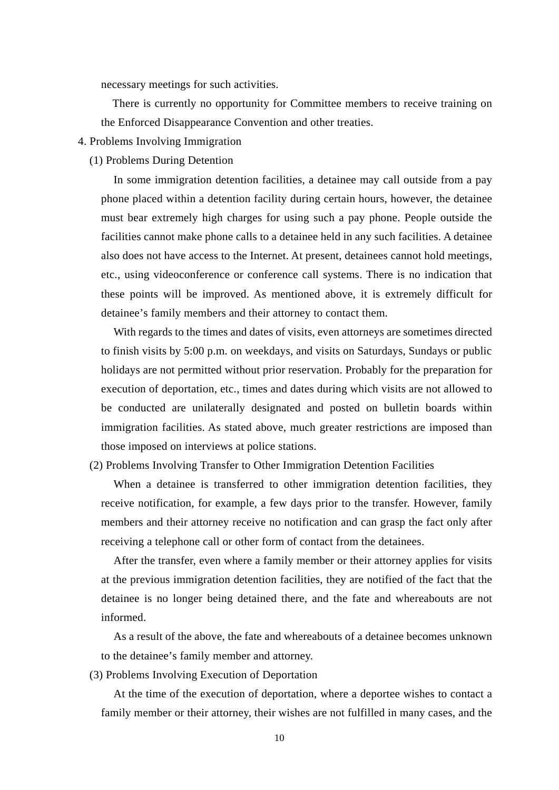necessary meetings for such activities.

There is currently no opportunity for Committee members to receive training on the Enforced Disappearance Convention and other treaties.

- 4. Problems Involving Immigration
	- (1) Problems During Detention

In some immigration detention facilities, a detainee may call outside from a pay phone placed within a detention facility during certain hours, however, the detainee must bear extremely high charges for using such a pay phone. People outside the facilities cannot make phone calls to a detainee held in any such facilities. A detainee also does not have access to the Internet. At present, detainees cannot hold meetings, etc., using videoconference or conference call systems. There is no indication that these points will be improved. As mentioned above, it is extremely difficult for detainee's family members and their attorney to contact them.

With regards to the times and dates of visits, even attorneys are sometimes directed to finish visits by 5:00 p.m. on weekdays, and visits on Saturdays, Sundays or public holidays are not permitted without prior reservation. Probably for the preparation for execution of deportation, etc., times and dates during which visits are not allowed to be conducted are unilaterally designated and posted on bulletin boards within immigration facilities. As stated above, much greater restrictions are imposed than those imposed on interviews at police stations.

(2) Problems Involving Transfer to Other Immigration Detention Facilities

When a detainee is transferred to other immigration detention facilities, they receive notification, for example, a few days prior to the transfer. However, family members and their attorney receive no notification and can grasp the fact only after receiving a telephone call or other form of contact from the detainees.

After the transfer, even where a family member or their attorney applies for visits at the previous immigration detention facilities, they are notified of the fact that the detainee is no longer being detained there, and the fate and whereabouts are not informed.

As a result of the above, the fate and whereabouts of a detainee becomes unknown to the detainee's family member and attorney.

(3) Problems Involving Execution of Deportation

At the time of the execution of deportation, where a deportee wishes to contact a family member or their attorney, their wishes are not fulfilled in many cases, and the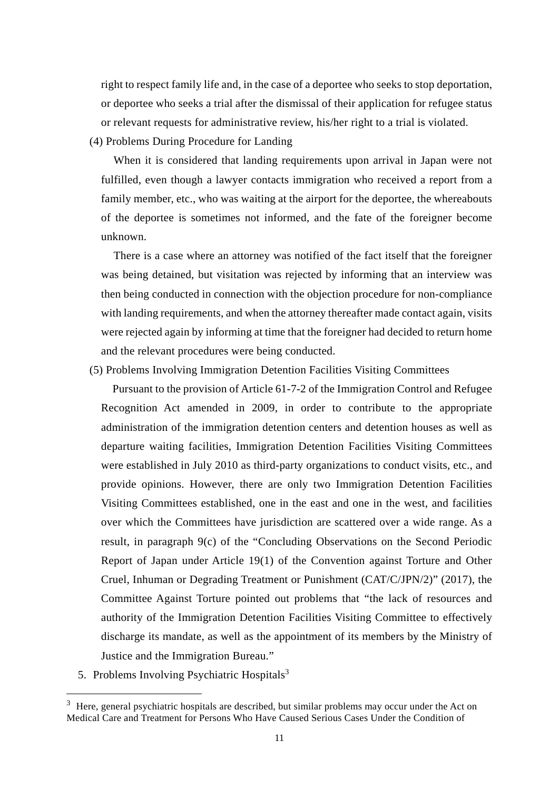right to respect family life and, in the case of a deportee who seeks to stop deportation, or deportee who seeks a trial after the dismissal of their application for refugee status or relevant requests for administrative review, his/her right to a trial is violated.

(4) Problems During Procedure for Landing

When it is considered that landing requirements upon arrival in Japan were not fulfilled, even though a lawyer contacts immigration who received a report from a family member, etc., who was waiting at the airport for the deportee, the whereabouts of the deportee is sometimes not informed, and the fate of the foreigner become unknown.

There is a case where an attorney was notified of the fact itself that the foreigner was being detained, but visitation was rejected by informing that an interview was then being conducted in connection with the objection procedure for non-compliance with landing requirements, and when the attorney thereafter made contact again, visits were rejected again by informing at time that the foreigner had decided to return home and the relevant procedures were being conducted.

(5) Problems Involving Immigration Detention Facilities Visiting Committees

Pursuant to the provision of Article 61-7-2 of the Immigration Control and Refugee Recognition Act amended in 2009, in order to contribute to the appropriate administration of the immigration detention centers and detention houses as well as departure waiting facilities, Immigration Detention Facilities Visiting Committees were established in July 2010 as third-party organizations to conduct visits, etc., and provide opinions. However, there are only two Immigration Detention Facilities Visiting Committees established, one in the east and one in the west, and facilities over which the Committees have jurisdiction are scattered over a wide range. As a result, in paragraph 9(c) of the "Concluding Observations on the Second Periodic Report of Japan under Article 19(1) of the Convention against Torture and Other Cruel, Inhuman or Degrading Treatment or Punishment (CAT/C/JPN/2)" (2017), the Committee Against Torture pointed out problems that "the lack of resources and authority of the Immigration Detention Facilities Visiting Committee to effectively discharge its mandate, as well as the appointment of its members by the Ministry of Justice and the Immigration Bureau."

5. Problems Involving Psychiatric Hospitals $3$ 

1

 $3$  Here, general psychiatric hospitals are described, but similar problems may occur under the Act on Medical Care and Treatment for Persons Who Have Caused Serious Cases Under the Condition of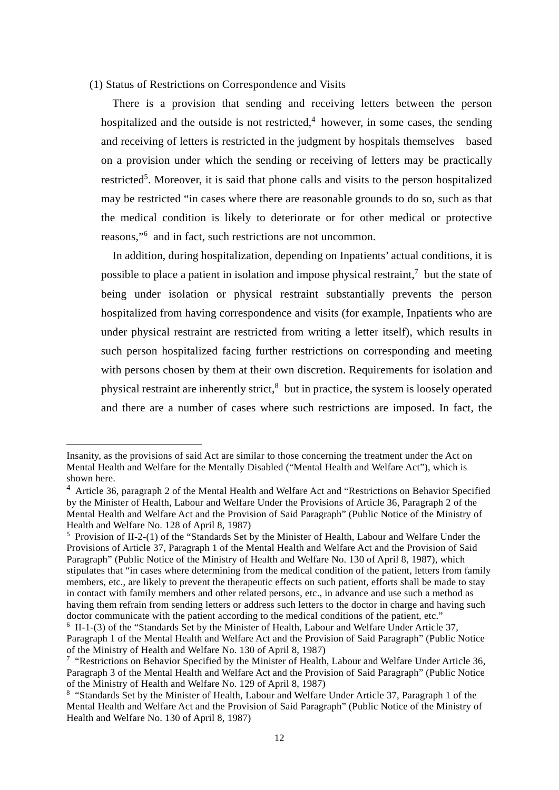## (1) Status of Restrictions on Correspondence and Visits

There is a provision that sending and receiving letters between the person hospitalized and the outside is not restricted,  $4$  however, in some cases, the sending and receiving of letters is restricted in the judgment by hospitals themselves based on a provision under which the sending or receiving of letters may be practically restricted<sup>5</sup>. Moreover, it is said that phone calls and visits to the person hospitalized may be restricted "in cases where there are reasonable grounds to do so, such as that the medical condition is likely to deteriorate or for other medical or protective reasons,"<sup>6</sup> and in fact, such restrictions are not uncommon.

In addition, during hospitalization, depending on Inpatients' actual conditions, it is possible to place a patient in isolation and impose physical restraint, $\alpha$  but the state of being under isolation or physical restraint substantially prevents the person hospitalized from having correspondence and visits (for example, Inpatients who are under physical restraint are restricted from writing a letter itself), which results in such person hospitalized facing further restrictions on corresponding and meeting with persons chosen by them at their own discretion. Requirements for isolation and physical restraint are inherently strict, $\delta$  but in practice, the system is loosely operated and there are a number of cases where such restrictions are imposed. In fact, the

 $\overline{a}$ 

Insanity, as the provisions of said Act are similar to those concerning the treatment under the Act on Mental Health and Welfare for the Mentally Disabled ("Mental Health and Welfare Act"), which is shown here.

<sup>&</sup>lt;sup>4</sup> Article 36, paragraph 2 of the Mental Health and Welfare Act and "Restrictions on Behavior Specified by the Minister of Health, Labour and Welfare Under the Provisions of Article 36, Paragraph 2 of the Mental Health and Welfare Act and the Provision of Said Paragraph" (Public Notice of the Ministry of Health and Welfare No. 128 of April 8, 1987)

<sup>&</sup>lt;sup>5</sup> Provision of II-2-(1) of the "Standards Set by the Minister of Health, Labour and Welfare Under the Provisions of Article 37, Paragraph 1 of the Mental Health and Welfare Act and the Provision of Said Paragraph" (Public Notice of the Ministry of Health and Welfare No. 130 of April 8, 1987), which stipulates that "in cases where determining from the medical condition of the patient, letters from family members, etc., are likely to prevent the therapeutic effects on such patient, efforts shall be made to stay in contact with family members and other related persons, etc., in advance and use such a method as having them refrain from sending letters or address such letters to the doctor in charge and having such doctor communicate with the patient according to the medical conditions of the patient, etc."

<sup>&</sup>lt;sup>6</sup> II-1-(3) of the "Standards Set by the Minister of Health, Labour and Welfare Under Article 37, Paragraph 1 of the Mental Health and Welfare Act and the Provision of Said Paragraph" (Public Notice of the Ministry of Health and Welfare No. 130 of April 8, 1987)

<sup>&</sup>lt;sup>7</sup> "Restrictions on Behavior Specified by the Minister of Health, Labour and Welfare Under Article 36, Paragraph 3 of the Mental Health and Welfare Act and the Provision of Said Paragraph" (Public Notice of the Ministry of Health and Welfare No. 129 of April 8, 1987)

<sup>&</sup>lt;sup>8</sup> "Standards Set by the Minister of Health, Labour and Welfare Under Article 37, Paragraph 1 of the Mental Health and Welfare Act and the Provision of Said Paragraph" (Public Notice of the Ministry of Health and Welfare No. 130 of April 8, 1987)